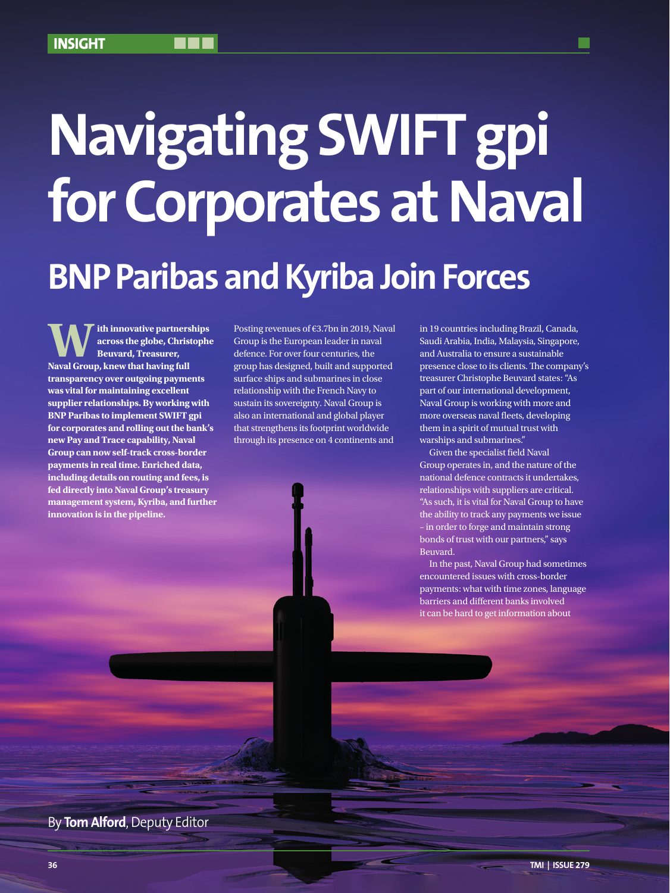# **Navigating SWIFT gpi for Corporates at Naval**

## **BNP Paribas and Kyriba Join Forces**

**W** ith innovative partnerships<br> **Naross the globe, Christophe**<br> **Naval Group, knew that having full across the globe, Christophe Beuvard, Treasurer, transparency over outgoing payments was vital for maintaining excellent supplier relationships. By working with BNP Paribas to implement SWIFT gpi for corporates and rolling out the bank's new Pay and Trace capability, Naval Group can now self-track cross-border payments in real time. Enriched data, including details on routing and fees, is fed directly into Naval Group's treasury management system, Kyriba, and further innovation is in the pipeline.**

Posting revenues of €3.7bn in 2019, Naval Group is the European leader in naval defence. For over four centuries, the group has designed, built and supported surface ships and submarines in close relationship with the French Navy to sustain its sovereignty. Naval Group is also an international and global player that strengthens its footprint worldwide through its presence on 4 continents and

in 19 countries including Brazil, Canada, Saudi Arabia, India, Malaysia, Singapore, and Australia to ensure a sustainable presence close to its clients. The company's treasurer Christophe Beuvard states: "As part of our international development, Naval Group is working with more and more overseas naval fleets, developing them in a spirit of mutual trust with warships and submarines."

Given the specialist field Naval Group operates in, and the nature of the national defence contracts it undertakes, relationships with suppliers are critical. "As such, it is vital for Naval Group to have the ability to track any payments we issue – in order to forge and maintain strong bonds of trust with our partners," says Beuvard.

In the past, Naval Group had sometimes encountered issues with cross-border payments: what with time zones, language barriers and different banks involved it can be hard to get information about

By **Tom Alford**, Deputy Editor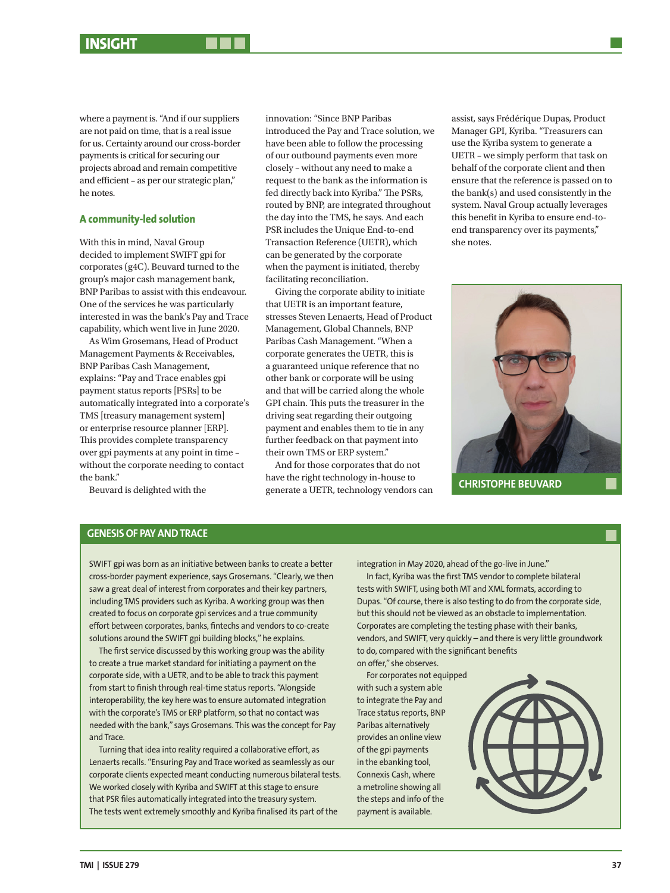where a payment is. "And if our suppliers are not paid on time, that is a real issue for us. Certainty around our cross-border payments is critical for securing our projects abroad and remain competitive and efficient – as per our strategic plan," he notes.

#### **A community-led solution**

With this in mind, Naval Group decided to implement SWIFT gpi for corporates (g4C). Beuvard turned to the group's major cash management bank, BNP Paribas to assist with this endeavour. One of the services he was particularly interested in was the bank's Pay and Trace capability, which went live in June 2020.

As Wim Grosemans, Head of Product Management Payments & Receivables, BNP Paribas Cash Management, explains: "Pay and Trace enables gpi payment status reports [PSRs] to be automatically integrated into a corporate's TMS [treasury management system] or enterprise resource planner [ERP]. This provides complete transparency over gpi payments at any point in time – without the corporate needing to contact the bank."

Beuvard is delighted with the

innovation: "Since BNP Paribas introduced the Pay and Trace solution, we have been able to follow the processing of our outbound payments even more closely – without any need to make a request to the bank as the information is fed directly back into Kyriba." The PSRs, routed by BNP, are integrated throughout the day into the TMS, he says. And each PSR includes the Unique End-to-end Transaction Reference (UETR), which can be generated by the corporate when the payment is initiated, thereby facilitating reconciliation.

Giving the corporate ability to initiate that UETR is an important feature, stresses Steven Lenaerts, Head of Product Management, Global Channels, BNP Paribas Cash Management. "When a corporate generates the UETR, this is a guaranteed unique reference that no other bank or corporate will be using and that will be carried along the whole GPI chain. This puts the treasurer in the driving seat regarding their outgoing payment and enables them to tie in any further feedback on that payment into their own TMS or ERP system."

And for those corporates that do not have the right technology in-house to generate a UETR, technology vendors can assist, says Frédérique Dupas, Product Manager GPI, Kyriba. "Treasurers can use the Kyriba system to generate a UETR – we simply perform that task on behalf of the corporate client and then ensure that the reference is passed on to the bank(s) and used consistently in the system. Naval Group actually leverages this benefit in Kyriba to ensure end-toend transparency over its payments," she notes.



**CHRISTOPHE BEUVARD**

#### **GENESIS OF PAY AND TRACE**

SWIFT gpi was born as an initiative between banks to create a better cross-border payment experience, says Grosemans. "Clearly, we then saw a great deal of interest from corporates and their key partners, including TMS providers such as Kyriba. A working group was then created to focus on corporate gpi services and a true community effort between corporates, banks, fintechs and vendors to co-create solutions around the SWIFT gpi building blocks," he explains.

The first service discussed by this working group was the ability to create a true market standard for initiating a payment on the corporate side, with a UETR, and to be able to track this payment from start to finish through real-time status reports. "Alongside interoperability, the key here was to ensure automated integration with the corporate's TMS or ERP platform, so that no contact was needed with the bank," says Grosemans. This was the concept for Pay and Trace.

Turning that idea into reality required a collaborative effort, as Lenaerts recalls. "Ensuring Pay and Trace worked as seamlessly as our corporate clients expected meant conducting numerous bilateral tests. We worked closely with Kyriba and SWIFT at this stage to ensure that PSR files automatically integrated into the treasury system. The tests went extremely smoothly and Kyriba finalised its part of the

integration in May 2020, ahead of the go-live in June."

In fact, Kyriba was the first TMS vendor to complete bilateral tests with SWIFT, using both MT and XML formats, according to Dupas. "Of course, there is also testing to do from the corporate side, but this should not be viewed as an obstacle to implementation. Corporates are completing the testing phase with their banks, vendors, and SWIFT, very quickly – and there is very little groundwork to do, compared with the significant benefits on offer," she observes.

For corporates not equipped with such a system able to integrate the Pay and Trace status reports, BNP Paribas alternatively provides an online view of the gpi payments in the ebanking tool, Connexis Cash, where a metroline showing all the steps and info of the payment is available.